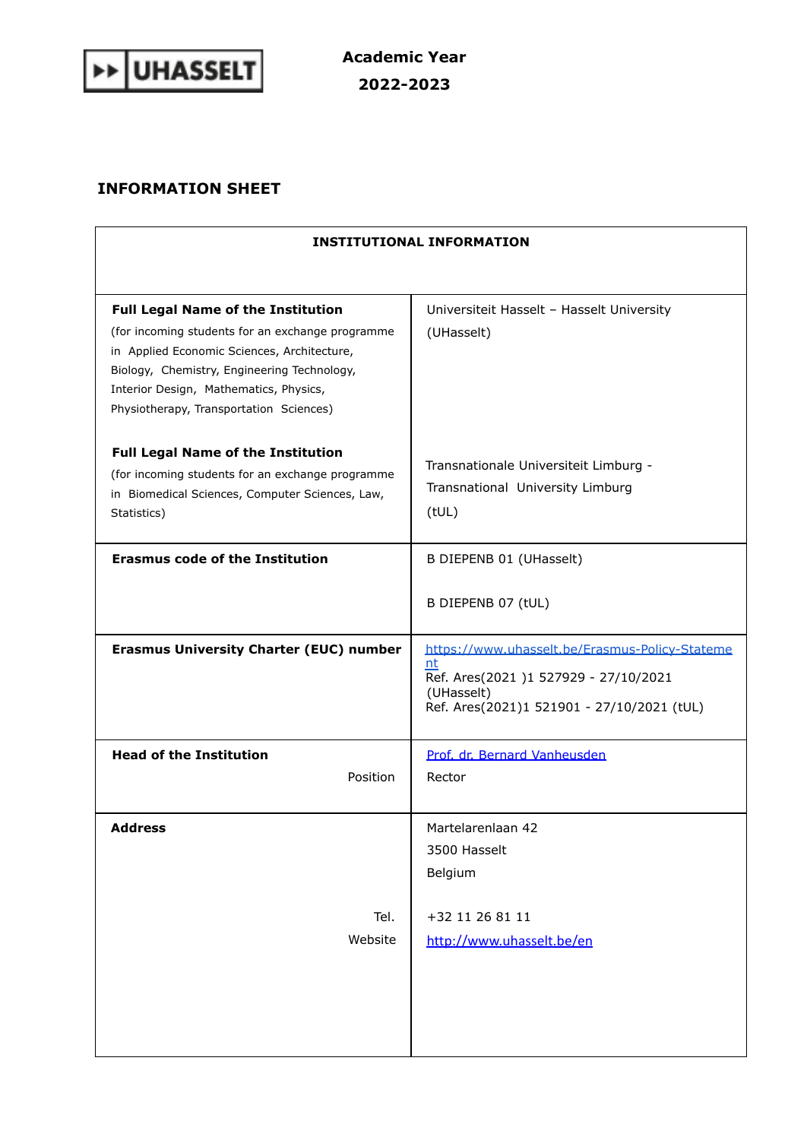

## **INFORMATION SHEET**

| <b>INSTITUTIONAL INFORMATION</b>                                                                                                                                                                                                                                                 |                                                                                                                                                         |
|----------------------------------------------------------------------------------------------------------------------------------------------------------------------------------------------------------------------------------------------------------------------------------|---------------------------------------------------------------------------------------------------------------------------------------------------------|
|                                                                                                                                                                                                                                                                                  |                                                                                                                                                         |
| <b>Full Legal Name of the Institution</b><br>(for incoming students for an exchange programme<br>in Applied Economic Sciences, Architecture,<br>Biology, Chemistry, Engineering Technology,<br>Interior Design, Mathematics, Physics,<br>Physiotherapy, Transportation Sciences) | Universiteit Hasselt - Hasselt University<br>(UHasselt)                                                                                                 |
| <b>Full Legal Name of the Institution</b><br>(for incoming students for an exchange programme<br>in Biomedical Sciences, Computer Sciences, Law,<br>Statistics)                                                                                                                  | Transnationale Universiteit Limburg -<br>Transnational University Limburg<br>(tUL)                                                                      |
| <b>Erasmus code of the Institution</b>                                                                                                                                                                                                                                           | B DIEPENB 01 (UHasselt)                                                                                                                                 |
|                                                                                                                                                                                                                                                                                  | B DIEPENB 07 (tUL)                                                                                                                                      |
| <b>Erasmus University Charter (EUC) number</b>                                                                                                                                                                                                                                   | https://www.uhasselt.be/Erasmus-Policy-Stateme<br>nt<br>Ref. Ares(2021)1527929 - 27/10/2021<br>(UHasselt)<br>Ref. Ares(2021)1 521901 - 27/10/2021 (tUL) |
| <b>Head of the Institution</b><br>Position                                                                                                                                                                                                                                       | Prof. dr. Bernard Vanheusden<br>Rector                                                                                                                  |
| <b>Address</b><br>Tel.<br>Website                                                                                                                                                                                                                                                | Martelarenlaan 42<br>3500 Hasselt<br>Belgium<br>+32 11 26 81 11<br>http://www.uhasselt.be/en                                                            |
|                                                                                                                                                                                                                                                                                  |                                                                                                                                                         |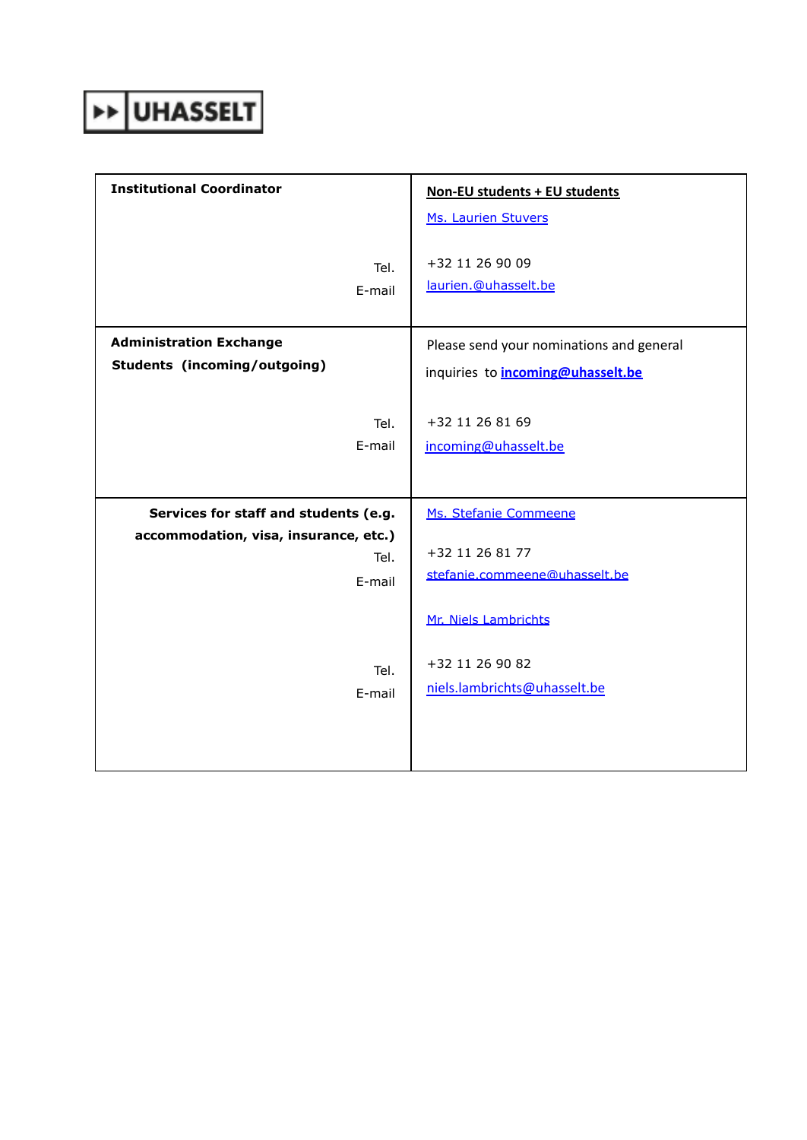## >> UHASSELT

| <b>Institutional Coordinator</b>                        | Non-EU students + EU students                    |
|---------------------------------------------------------|--------------------------------------------------|
|                                                         | Ms. Laurien Stuvers                              |
| Tel.<br>E-mail                                          | +32 11 26 90 09<br>laurien.@uhasselt.be          |
| <b>Administration Exchange</b>                          | Please send your nominations and general         |
| <b>Students (incoming/outgoing)</b>                     | inquiries to <b>incoming@uhasselt.be</b>         |
| Tel.<br>E-mail                                          | +32 11 26 81 69<br>incoming@uhasselt.be          |
| Services for staff and students (e.g.                   | Ms. Stefanie Commeene                            |
| accommodation, visa, insurance, etc.)<br>Tel.<br>E-mail | +32 11 26 81 77<br>stefanie.commeene@uhasselt.be |
|                                                         | Mr. Niels Lambrichts                             |
| Tel.<br>E-mail                                          | +32 11 26 90 82<br>niels.lambrichts@uhasselt.be  |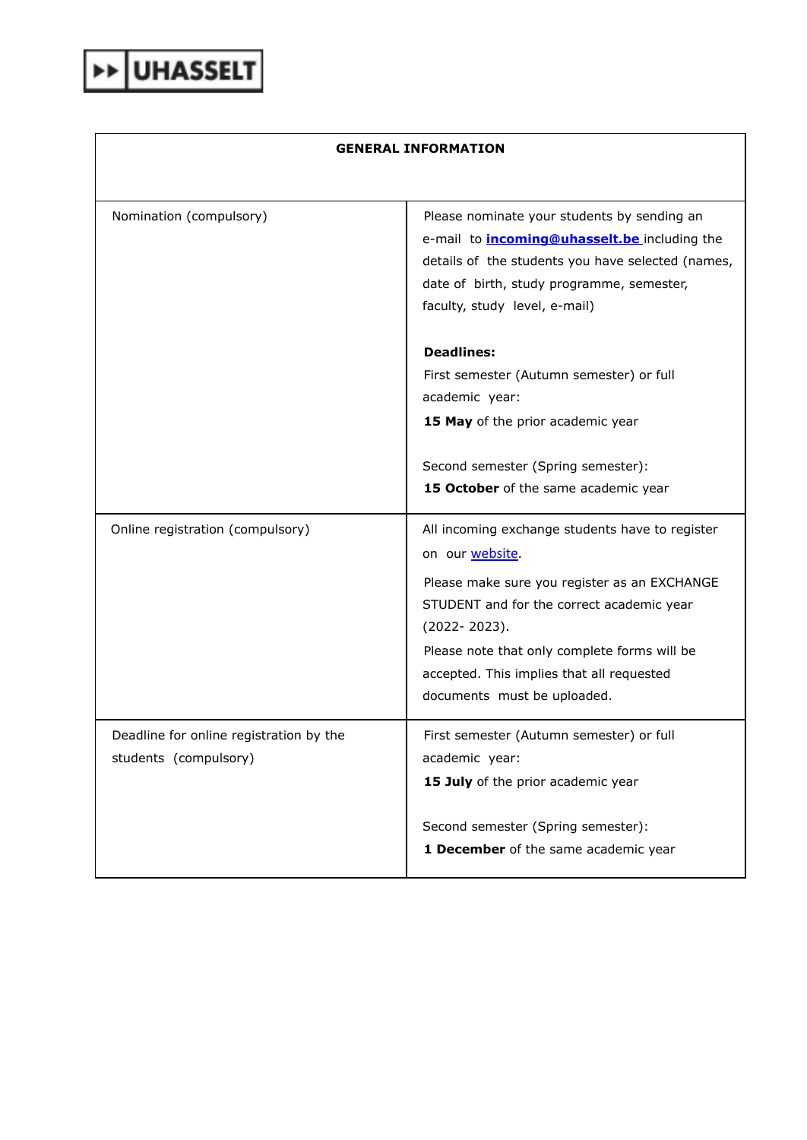## **GENERAL INFORMATION**

| Nomination (compulsory)                 | Please nominate your students by sending an<br>e-mail to <i>incoming@uhasselt.be</i> including the<br>details of the students you have selected (names,<br>date of birth, study programme, semester,<br>faculty, study level, e-mail) |
|-----------------------------------------|---------------------------------------------------------------------------------------------------------------------------------------------------------------------------------------------------------------------------------------|
|                                         | <b>Deadlines:</b>                                                                                                                                                                                                                     |
|                                         | First semester (Autumn semester) or full                                                                                                                                                                                              |
|                                         | academic year:                                                                                                                                                                                                                        |
|                                         | 15 May of the prior academic year                                                                                                                                                                                                     |
|                                         | Second semester (Spring semester):                                                                                                                                                                                                    |
|                                         | 15 October of the same academic year                                                                                                                                                                                                  |
| Online registration (compulsory)        | All incoming exchange students have to register<br>on our website.                                                                                                                                                                    |
|                                         | Please make sure you register as an EXCHANGE<br>STUDENT and for the correct academic year                                                                                                                                             |
|                                         | (2022-2023).                                                                                                                                                                                                                          |
|                                         | Please note that only complete forms will be                                                                                                                                                                                          |
|                                         | accepted. This implies that all requested                                                                                                                                                                                             |
|                                         | documents must be uploaded.                                                                                                                                                                                                           |
| Deadline for online registration by the | First semester (Autumn semester) or full                                                                                                                                                                                              |
| students (compulsory)                   | academic year:                                                                                                                                                                                                                        |
|                                         | 15 July of the prior academic year                                                                                                                                                                                                    |
|                                         | Second semester (Spring semester):                                                                                                                                                                                                    |
|                                         | 1 December of the same academic year                                                                                                                                                                                                  |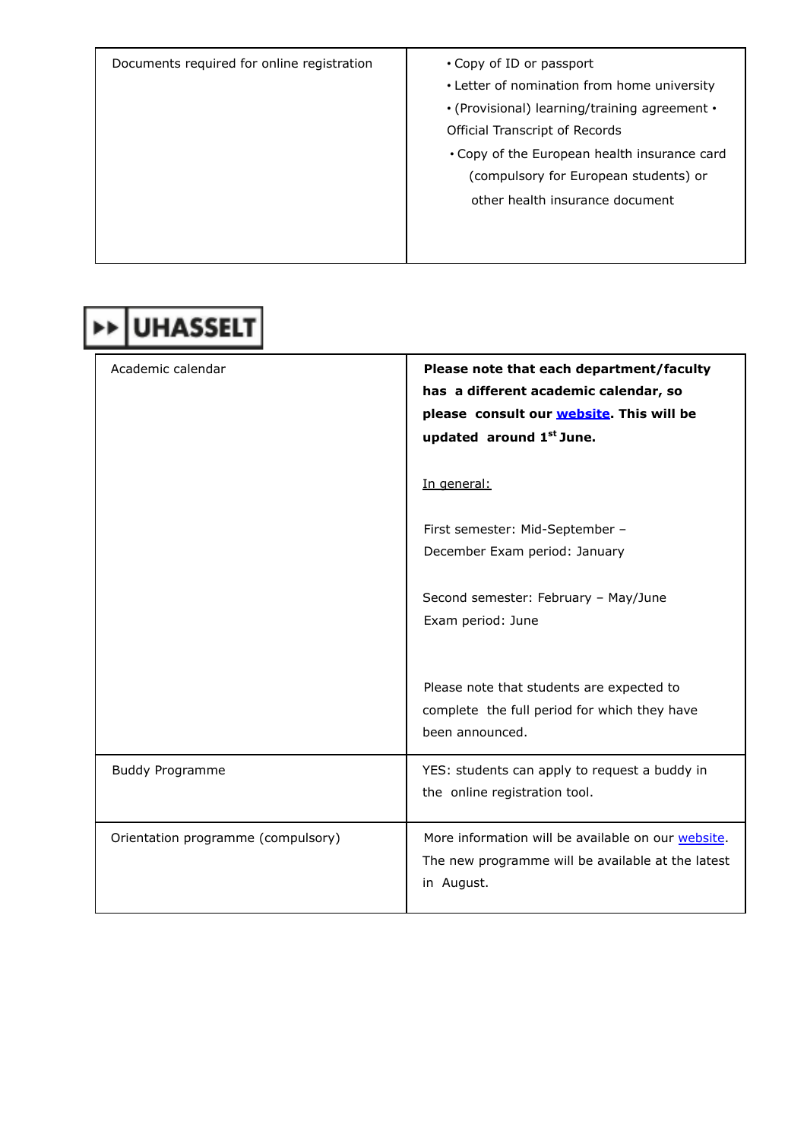| Documents required for online registration | • Copy of ID or passport<br>• Letter of nomination from home university<br>• (Provisional) learning/training agreement •<br>Official Transcript of Records<br>. Copy of the European health insurance card<br>(compulsory for European students) or<br>other health insurance document |
|--------------------------------------------|----------------------------------------------------------------------------------------------------------------------------------------------------------------------------------------------------------------------------------------------------------------------------------------|
|                                            |                                                                                                                                                                                                                                                                                        |

| <b>→ UHASSELT</b>                  |                                                                                                                                                           |
|------------------------------------|-----------------------------------------------------------------------------------------------------------------------------------------------------------|
| Academic calendar                  | Please note that each department/faculty<br>has a different academic calendar, so<br>please consult our website. This will be<br>updated around 1st June. |
|                                    | In general:                                                                                                                                               |
|                                    | First semester: Mid-September -<br>December Exam period: January                                                                                          |
|                                    | Second semester: February - May/June<br>Exam period: June                                                                                                 |
|                                    | Please note that students are expected to<br>complete the full period for which they have<br>been announced.                                              |
| <b>Buddy Programme</b>             | YES: students can apply to request a buddy in<br>the online registration tool.                                                                            |
| Orientation programme (compulsory) | More information will be available on our website.<br>The new programme will be available at the latest<br>in August.                                     |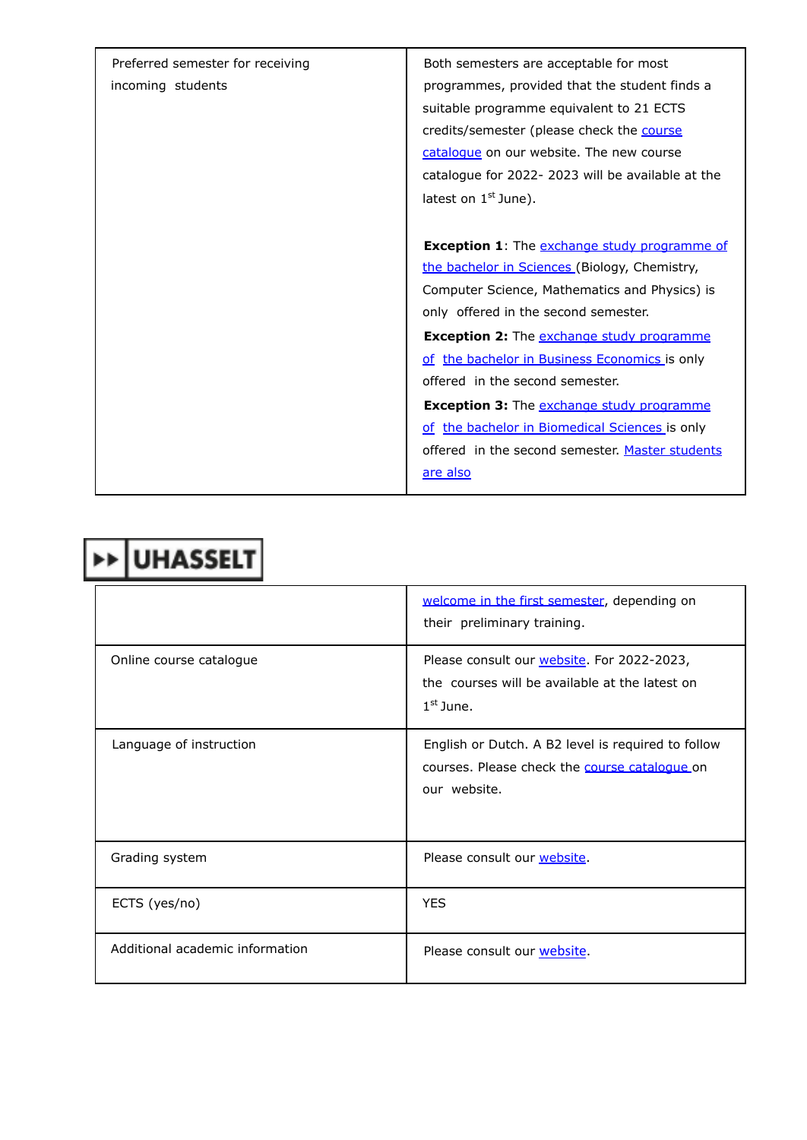| Preferred semester for receiving | Both semesters are acceptable for most              |
|----------------------------------|-----------------------------------------------------|
| incoming students                | programmes, provided that the student finds a       |
|                                  | suitable programme equivalent to 21 ECTS            |
|                                  | credits/semester (please check the course           |
|                                  | catalogue on our website. The new course            |
|                                  | catalogue for 2022-2023 will be available at the    |
|                                  | latest on $1st$ June).                              |
|                                  |                                                     |
|                                  | <b>Exception 1:</b> The exchange study programme of |
|                                  | the bachelor in Sciences (Biology, Chemistry,       |
|                                  | Computer Science, Mathematics and Physics) is       |
|                                  | only offered in the second semester.                |
|                                  | <b>Exception 2:</b> The exchange study programme    |
|                                  | of the bachelor in Business Economics is only       |
|                                  | offered in the second semester.                     |
|                                  | <b>Exception 3:</b> The exchange study programme    |
|                                  | of the bachelor in Biomedical Sciences is only      |
|                                  | offered in the second semester. Master students     |
|                                  | are also                                            |
|                                  |                                                     |

|  | <b>&gt;&gt;UHASSELT</b> |
|--|-------------------------|
|--|-------------------------|

|                                 | welcome in the first semester, depending on<br>their preliminary training.                                          |
|---------------------------------|---------------------------------------------------------------------------------------------------------------------|
| Online course catalogue         | Please consult our website. For 2022-2023,<br>the courses will be available at the latest on<br>$1st$ June.         |
| Language of instruction         | English or Dutch. A B2 level is required to follow<br>courses. Please check the course catalogue on<br>our website. |
| Grading system                  | Please consult our website.                                                                                         |
| ECTS (yes/no)                   | <b>YES</b>                                                                                                          |
| Additional academic information | Please consult our website.                                                                                         |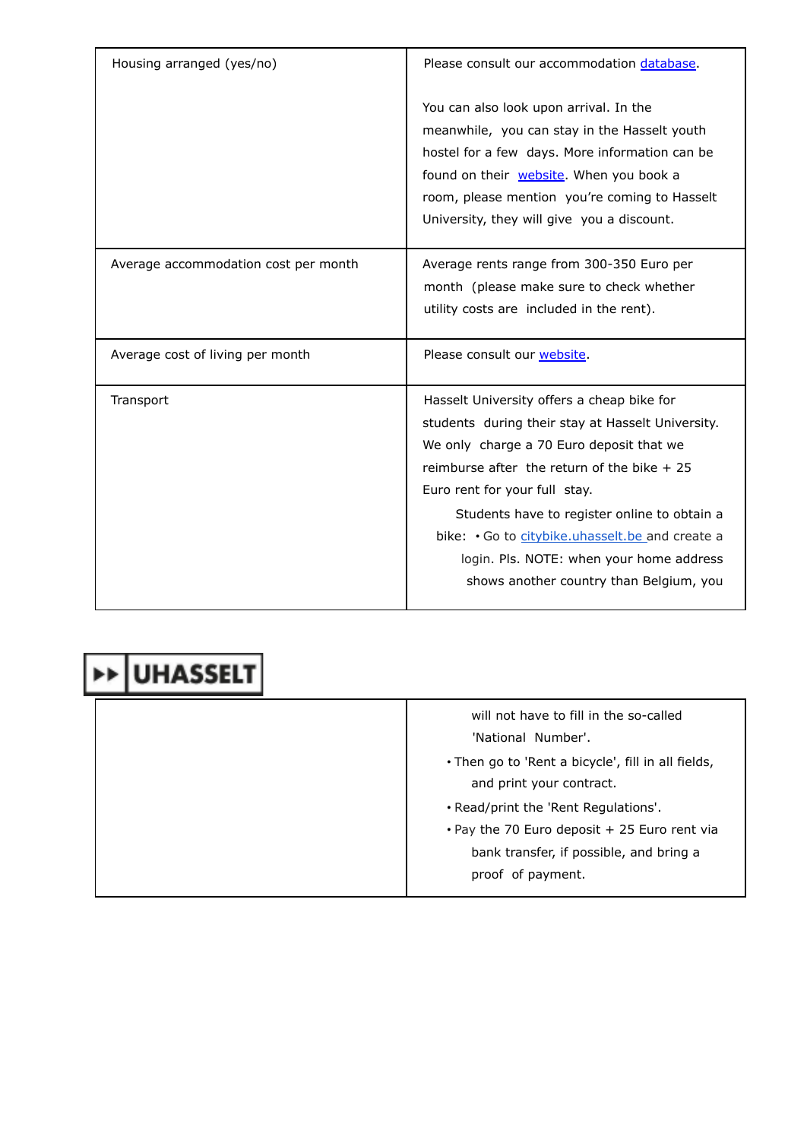| Housing arranged (yes/no)            | Please consult our accommodation database.                                                                                                                                                                                                                                                                                                                                                                           |
|--------------------------------------|----------------------------------------------------------------------------------------------------------------------------------------------------------------------------------------------------------------------------------------------------------------------------------------------------------------------------------------------------------------------------------------------------------------------|
|                                      | You can also look upon arrival. In the<br>meanwhile, you can stay in the Hasselt youth<br>hostel for a few days. More information can be<br>found on their website. When you book a<br>room, please mention you're coming to Hasselt<br>University, they will give you a discount.                                                                                                                                   |
| Average accommodation cost per month | Average rents range from 300-350 Euro per<br>month (please make sure to check whether<br>utility costs are included in the rent).                                                                                                                                                                                                                                                                                    |
| Average cost of living per month     | Please consult our website.                                                                                                                                                                                                                                                                                                                                                                                          |
| Transport                            | Hasselt University offers a cheap bike for<br>students during their stay at Hasselt University.<br>We only charge a 70 Euro deposit that we<br>reimburse after the return of the bike $+25$<br>Euro rent for your full stay.<br>Students have to register online to obtain a<br>bike: Go to citybike.uhasselt.be and create a<br>login. Pls. NOTE: when your home address<br>shows another country than Belgium, you |

|  | will not have to fill in the so-called<br>'National Number'.                         |
|--|--------------------------------------------------------------------------------------|
|  | . Then go to 'Rent a bicycle', fill in all fields,<br>and print your contract.       |
|  | . Read/print the 'Rent Regulations'.<br>. Pay the 70 Euro deposit + 25 Euro rent via |
|  | bank transfer, if possible, and bring a<br>proof of payment.                         |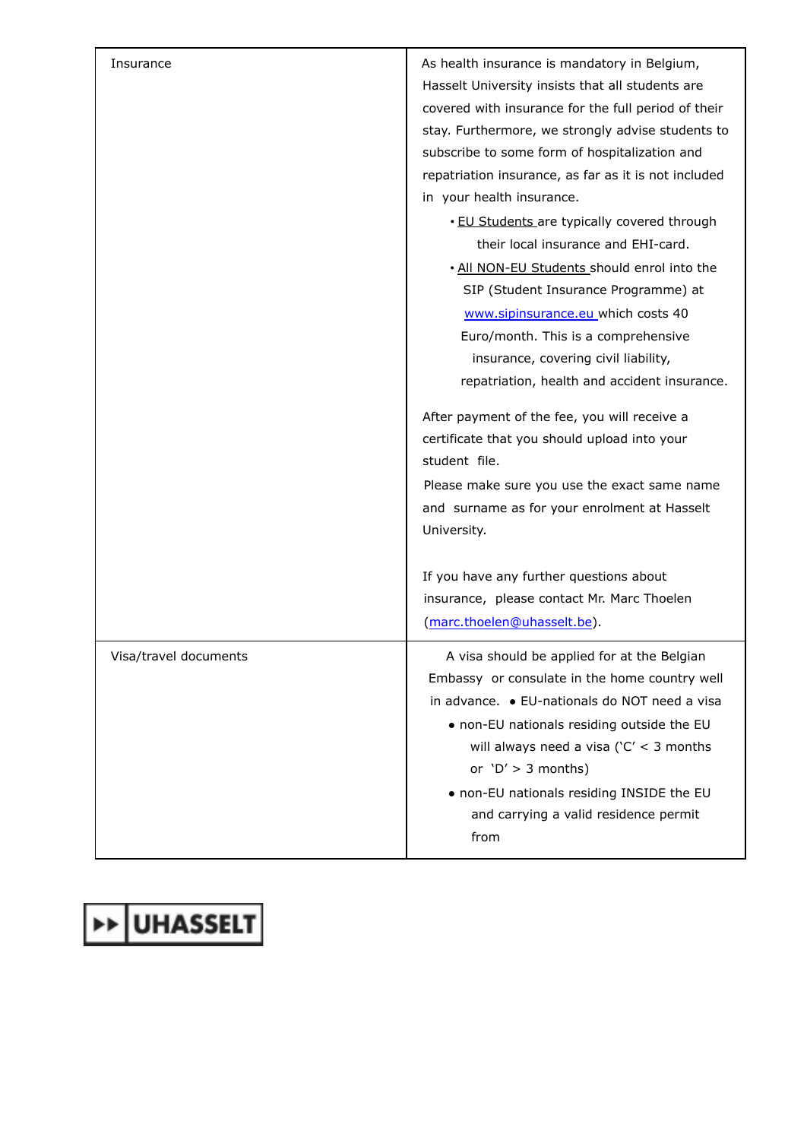| Insurance             | As health insurance is mandatory in Belgium,<br>Hasselt University insists that all students are<br>covered with insurance for the full period of their<br>stay. Furthermore, we strongly advise students to<br>subscribe to some form of hospitalization and<br>repatriation insurance, as far as it is not included<br>in your health insurance.<br>. EU Students are typically covered through<br>their local insurance and EHI-card.<br>. All NON-EU Students should enrol into the<br>SIP (Student Insurance Programme) at<br>www.sipinsurance.eu which costs 40<br>Euro/month. This is a comprehensive<br>insurance, covering civil liability,<br>repatriation, health and accident insurance.<br>After payment of the fee, you will receive a<br>certificate that you should upload into your<br>student file.<br>Please make sure you use the exact same name<br>and surname as for your enrolment at Hasselt<br>University. |
|-----------------------|--------------------------------------------------------------------------------------------------------------------------------------------------------------------------------------------------------------------------------------------------------------------------------------------------------------------------------------------------------------------------------------------------------------------------------------------------------------------------------------------------------------------------------------------------------------------------------------------------------------------------------------------------------------------------------------------------------------------------------------------------------------------------------------------------------------------------------------------------------------------------------------------------------------------------------------|
|                       | If you have any further questions about<br>insurance, please contact Mr. Marc Thoelen<br>(marc.thoelen@uhasselt.be).                                                                                                                                                                                                                                                                                                                                                                                                                                                                                                                                                                                                                                                                                                                                                                                                                 |
| Visa/travel documents | A visa should be applied for at the Belgian<br>Embassy or consulate in the home country well<br>in advance. • EU-nationals do NOT need a visa<br>• non-EU nationals residing outside the EU<br>will always need a visa ( $C' < 3$ months<br>or $'D' > 3$ months)<br>. non-EU nationals residing INSIDE the EU<br>and carrying a valid residence permit<br>from                                                                                                                                                                                                                                                                                                                                                                                                                                                                                                                                                                       |

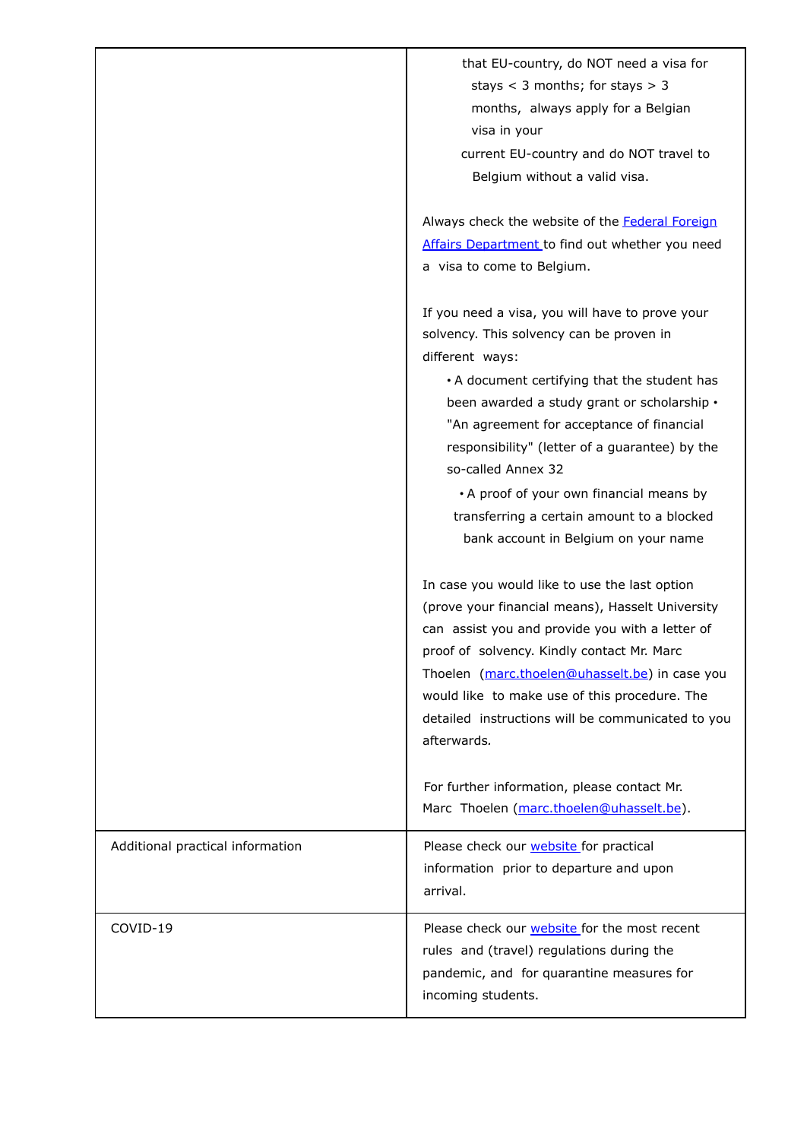|                                  | that EU-country, do NOT need a visa for<br>stays $<$ 3 months; for stays $>$ 3<br>months, always apply for a Belgian<br>visa in your<br>current EU-country and do NOT travel to<br>Belgium without a valid visa.                                                                                                                                                                                                                                                     |
|----------------------------------|----------------------------------------------------------------------------------------------------------------------------------------------------------------------------------------------------------------------------------------------------------------------------------------------------------------------------------------------------------------------------------------------------------------------------------------------------------------------|
|                                  | Always check the website of the Federal Foreign<br>Affairs Department to find out whether you need<br>a visa to come to Belgium.                                                                                                                                                                                                                                                                                                                                     |
|                                  | If you need a visa, you will have to prove your<br>solvency. This solvency can be proven in<br>different ways:<br>• A document certifying that the student has<br>been awarded a study grant or scholarship .<br>"An agreement for acceptance of financial<br>responsibility" (letter of a guarantee) by the<br>so-called Annex 32<br>• A proof of your own financial means by<br>transferring a certain amount to a blocked<br>bank account in Belgium on your name |
|                                  | In case you would like to use the last option<br>(prove your financial means), Hasselt University<br>can assist you and provide you with a letter of<br>proof of solvency. Kindly contact Mr. Marc<br>Thoelen (marc.thoelen@uhasselt.be) in case you<br>would like to make use of this procedure. The<br>detailed instructions will be communicated to you<br>afterwards.                                                                                            |
|                                  | For further information, please contact Mr.<br>Marc Thoelen (marc.thoelen@uhasselt.be).                                                                                                                                                                                                                                                                                                                                                                              |
| Additional practical information | Please check our website for practical<br>information prior to departure and upon<br>arrival.                                                                                                                                                                                                                                                                                                                                                                        |
| COVID-19                         | Please check our <b>website</b> for the most recent<br>rules and (travel) regulations during the<br>pandemic, and for quarantine measures for<br>incoming students.                                                                                                                                                                                                                                                                                                  |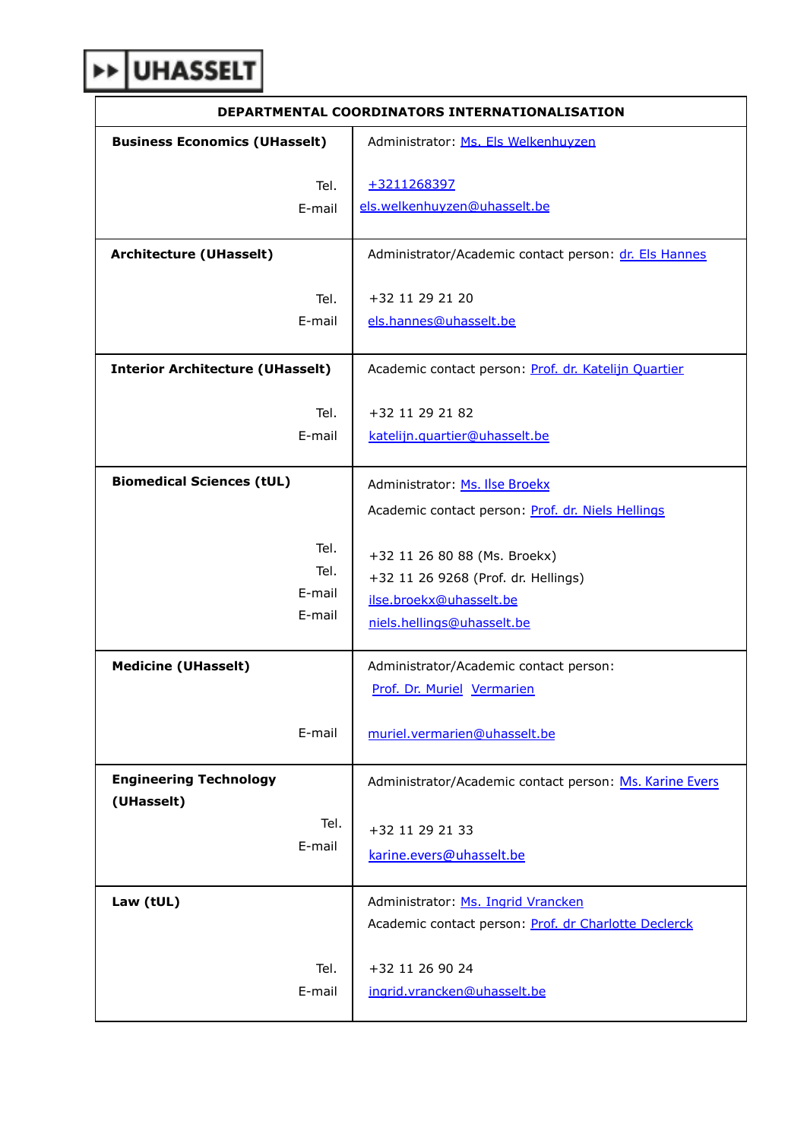## **EXP**UHASSELT

| DEPARTMENTAL COORDINATORS INTERNATIONALISATION |                                                                                                                              |
|------------------------------------------------|------------------------------------------------------------------------------------------------------------------------------|
| <b>Business Economics (UHasselt)</b>           | Administrator: Ms. Els Welkenhuyzen                                                                                          |
|                                                |                                                                                                                              |
| Tel.                                           | +3211268397                                                                                                                  |
| E-mail                                         | els.welkenhuyzen@uhasselt.be                                                                                                 |
| <b>Architecture (UHasselt)</b>                 | Administrator/Academic contact person: dr. Els Hannes                                                                        |
| Tel.                                           | +32 11 29 21 20                                                                                                              |
| E-mail                                         | els.hannes@uhasselt.be                                                                                                       |
| <b>Interior Architecture (UHasselt)</b>        | Academic contact person: Prof. dr. Katelijn Quartier                                                                         |
| Tel.                                           | +32 11 29 21 82                                                                                                              |
| E-mail                                         | katelijn.quartier@uhasselt.be                                                                                                |
| <b>Biomedical Sciences (tUL)</b>               | Administrator: Ms. Ilse Broekx                                                                                               |
|                                                | Academic contact person: Prof. dr. Niels Hellings                                                                            |
| Tel.<br>Tel.<br>E-mail<br>E-mail               | +32 11 26 80 88 (Ms. Broekx)<br>+32 11 26 9268 (Prof. dr. Hellings)<br>ilse.broekx@uhasselt.be<br>niels.hellings@uhasselt.be |
| <b>Medicine (UHasselt)</b>                     | Administrator/Academic contact person:<br>Prof. Dr. Muriel Vermarien                                                         |
| E-mail                                         | muriel.vermarien@uhasselt.be                                                                                                 |
| <b>Engineering Technology</b><br>(UHasselt)    | Administrator/Academic contact person: Ms. Karine Evers                                                                      |
| Tel.                                           | +32 11 29 21 33                                                                                                              |
| E-mail                                         | karine.evers@uhasselt.be                                                                                                     |
| Law (tUL)                                      | Administrator: Ms. Ingrid Vrancken                                                                                           |
|                                                | Academic contact person: Prof. dr Charlotte Declerck                                                                         |
| Tel.<br>E-mail                                 | +32 11 26 90 24<br>ingrid.vrancken@uhasselt.be                                                                               |

٦